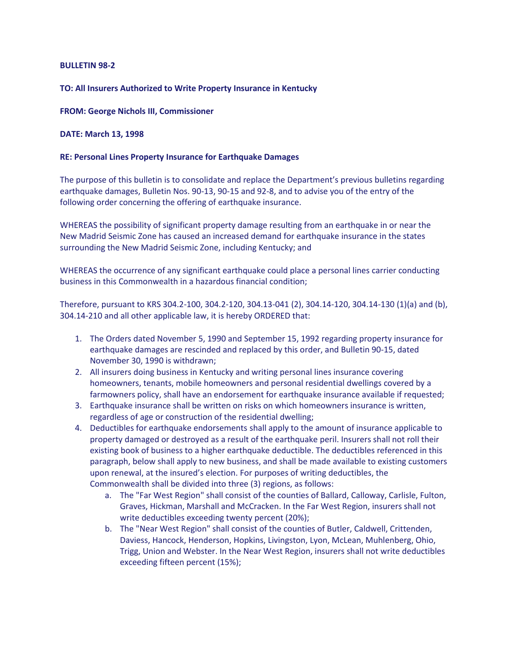#### **BULLETIN 98-2**

## **TO: All Insurers Authorized to Write Property Insurance in Kentucky**

## **FROM: George Nichols III, Commissioner**

### **DATE: March 13, 1998**

## **RE: Personal Lines Property Insurance for Earthquake Damages**

The purpose of this bulletin is to consolidate and replace the Department's previous bulletins regarding earthquake damages, Bulletin Nos. 90-13, 90-15 and 92-8, and to advise you of the entry of the following order concerning the offering of earthquake insurance.

WHEREAS the possibility of significant property damage resulting from an earthquake in or near the New Madrid Seismic Zone has caused an increased demand for earthquake insurance in the states surrounding the New Madrid Seismic Zone, including Kentucky; and

WHEREAS the occurrence of any significant earthquake could place a personal lines carrier conducting business in this Commonwealth in a hazardous financial condition;

Therefore, pursuant to KRS 304.2-100, 304.2-120, 304.13-041 (2), 304.14-120, 304.14-130 (1)(a) and (b), 304.14-210 and all other applicable law, it is hereby ORDERED that:

- 1. The Orders dated November 5, 1990 and September 15, 1992 regarding property insurance for earthquake damages are rescinded and replaced by this order, and Bulletin 90-15, dated November 30, 1990 is withdrawn;
- 2. All insurers doing business in Kentucky and writing personal lines insurance covering homeowners, tenants, mobile homeowners and personal residential dwellings covered by a farmowners policy, shall have an endorsement for earthquake insurance available if requested;
- 3. Earthquake insurance shall be written on risks on which homeowners insurance is written, regardless of age or construction of the residential dwelling;
- 4. Deductibles for earthquake endorsements shall apply to the amount of insurance applicable to property damaged or destroyed as a result of the earthquake peril. Insurers shall not roll their existing book of business to a higher earthquake deductible. The deductibles referenced in this paragraph, below shall apply to new business, and shall be made available to existing customers upon renewal, at the insured's election. For purposes of writing deductibles, the Commonwealth shall be divided into three (3) regions, as follows:
	- a. The "Far West Region" shall consist of the counties of Ballard, Calloway, Carlisle, Fulton, Graves, Hickman, Marshall and McCracken. In the Far West Region, insurers shall not write deductibles exceeding twenty percent (20%);
	- b. The "Near West Region" shall consist of the counties of Butler, Caldwell, Crittenden, Daviess, Hancock, Henderson, Hopkins, Livingston, Lyon, McLean, Muhlenberg, Ohio, Trigg, Union and Webster. In the Near West Region, insurers shall not write deductibles exceeding fifteen percent (15%);